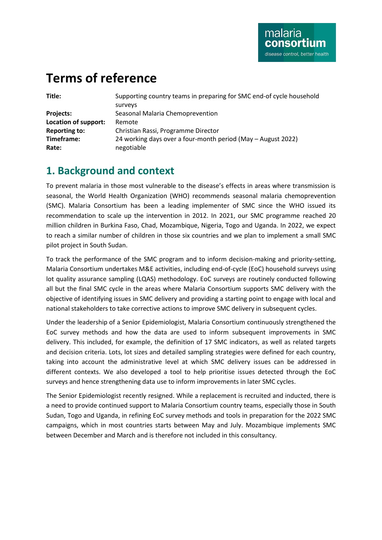# **Terms of reference**

| ×<br>۰. | ۰. |
|---------|----|

| Title:               | Supporting country teams in preparing for SMC end-of cycle household |
|----------------------|----------------------------------------------------------------------|
|                      | surveys                                                              |
| <b>Projects:</b>     | Seasonal Malaria Chemoprevention                                     |
| Location of support: | Remote                                                               |
| <b>Reporting to:</b> | Christian Rassi, Programme Director                                  |
| Timeframe:           | 24 working days over a four-month period (May – August 2022)         |
| Rate:                | negotiable                                                           |
|                      |                                                                      |

### **1. Background and context**

To prevent malaria in those most vulnerable to the disease's effects in areas where transmission is seasonal, the World Health Organization (WHO) recommends seasonal malaria chemoprevention (SMC). Malaria Consortium has been a leading implementer of SMC since the WHO issued its recommendation to scale up the intervention in 2012. In 2021, our SMC programme reached 20 million children in Burkina Faso, Chad, Mozambique, Nigeria, Togo and Uganda. In 2022, we expect to reach a similar number of children in those six countries and we plan to implement a small SMC pilot project in South Sudan.

To track the performance of the SMC program and to inform decision-making and priority-setting, Malaria Consortium undertakes M&E activities, including end-of-cycle (EoC) household surveys using lot quality assurance sampling (LQAS) methodology. EoC surveys are routinely conducted following all but the final SMC cycle in the areas where Malaria Consortium supports SMC delivery with the objective of identifying issues in SMC delivery and providing a starting point to engage with local and national stakeholders to take corrective actions to improve SMC delivery in subsequent cycles.

Under the leadership of a Senior Epidemiologist, Malaria Consortium continuously strengthened the EoC survey methods and how the data are used to inform subsequent improvements in SMC delivery. This included, for example, the definition of 17 SMC indicators, as well as related targets and decision criteria. Lots, lot sizes and detailed sampling strategies were defined for each country, taking into account the administrative level at which SMC delivery issues can be addressed in different contexts. We also developed a tool to help prioritise issues detected through the EoC surveys and hence strengthening data use to inform improvements in later SMC cycles.

The Senior Epidemiologist recently resigned. While a replacement is recruited and inducted, there is a need to provide continued support to Malaria Consortium country teams, especially those in South Sudan, Togo and Uganda, in refining EoC survey methods and tools in preparation for the 2022 SMC campaigns, which in most countries starts between May and July. Mozambique implements SMC between December and March and is therefore not included in this consultancy.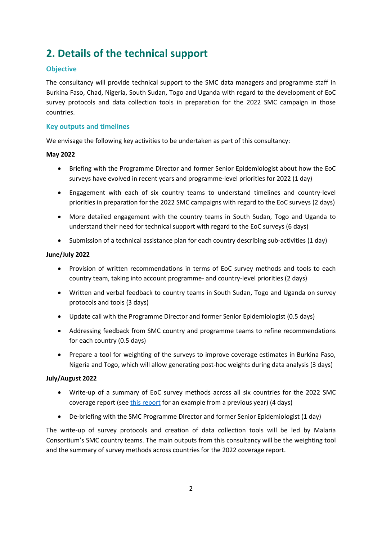# **2. Details of the technical support**

#### **Objective**

The consultancy will provide technical support to the SMC data managers and programme staff in Burkina Faso, Chad, Nigeria, South Sudan, Togo and Uganda with regard to the development of EoC survey protocols and data collection tools in preparation for the 2022 SMC campaign in those countries.

#### **Key outputs and timelines**

We envisage the following key activities to be undertaken as part of this consultancy:

#### **May 2022**

- Briefing with the Programme Director and former Senior Epidemiologist about how the EoC surveys have evolved in recent years and programme-level priorities for 2022 (1 day)
- Engagement with each of six country teams to understand timelines and country-level priorities in preparation for the 2022 SMC campaigns with regard to the EoC surveys (2 days)
- More detailed engagement with the country teams in South Sudan, Togo and Uganda to understand their need for technical support with regard to the EoC surveys (6 days)
- Submission of a technical assistance plan for each country describing sub-activities (1 day)

#### **June/July 2022**

- Provision of written recommendations in terms of EoC survey methods and tools to each country team, taking into account programme- and country-level priorities (2 days)
- Written and verbal feedback to country teams in South Sudan, Togo and Uganda on survey protocols and tools (3 days)
- Update call with the Programme Director and former Senior Epidemiologist (0.5 days)
- Addressing feedback from SMC country and programme teams to refine recommendations for each country (0.5 days)
- Prepare a tool for weighting of the surveys to improve coverage estimates in Burkina Faso, Nigeria and Togo, which will allow generating post-hoc weights during data analysis (3 days)

#### **July/August 2022**

- Write-up of a summary of EoC survey methods across all six countries for the 2022 SMC coverage report (see [this report](file:///C:/Users/C.Rassi.MC/AppData/Local/Microsoft/Windows/INetCache/Content.Outlook/HR/Consultancy%20Sol/Malaria%20Consortium.%20Quantitative%20report%20on%20seasonal%20malaria%20chemoprevention%20supported%20by%20Malaria%20Consortium%20in%202020:%20Coverage%20and%20quality%20in%20Burkina%20Faso,%20Chad,%20Nigeria,%20and%20Togo.%20London:%20Malaria%20Consortium;%202021.%20Available%20from:%20https:/www.malariaconsortium.org/resources/publications/1429/quantitative-report-on-seasonal-malaria-chemoprevention-supported-by-malaria-consortium-in-2020-coverage-and-quality-in-burkina-faso-chad-nigeria-and-togo.) for an example from a previous year) (4 days)
- De-briefing with the SMC Programme Director and former Senior Epidemiologist (1 day)

The write-up of survey protocols and creation of data collection tools will be led by Malaria Consortium's SMC country teams. The main outputs from this consultancy will be the weighting tool and the summary of survey methods across countries for the 2022 coverage report.